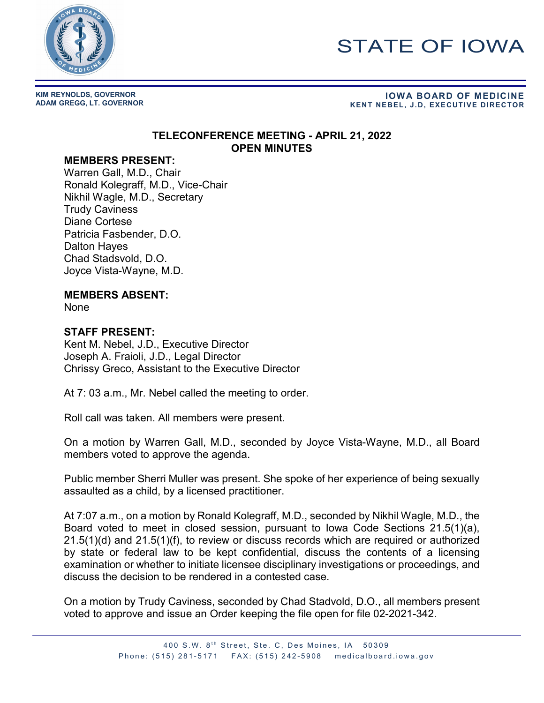

# STATE OF IOWA

**KIM REYNOLDS, GOVERNOR**

# **ADAM GREGG, LT. GOVERNOR IOWA BOARD OF MEDICINE KENT NEBEL, J.D, EXECUTIVE DIRECTOR**

#### **TELECONFERENCE MEETING - APRIL 21, 2022 OPEN MINUTES**

#### **MEMBERS PRESENT:**

Warren Gall, M.D., Chair Ronald Kolegraff, M.D., Vice-Chair Nikhil Wagle, M.D., Secretary Trudy Caviness Diane Cortese Patricia Fasbender, D.O. Dalton Hayes Chad Stadsvold, D.O. Joyce Vista-Wayne, M.D.

### **MEMBERS ABSENT:**

None

## **STAFF PRESENT:**

Kent M. Nebel, J.D., Executive Director Joseph A. Fraioli, J.D., Legal Director Chrissy Greco, Assistant to the Executive Director

At 7: 03 a.m., Mr. Nebel called the meeting to order.

Roll call was taken. All members were present.

On a motion by Warren Gall, M.D., seconded by Joyce Vista-Wayne, M.D., all Board members voted to approve the agenda.

Public member Sherri Muller was present. She spoke of her experience of being sexually assaulted as a child, by a licensed practitioner.

At 7:07 a.m., on a motion by Ronald Kolegraff, M.D., seconded by Nikhil Wagle, M.D., the Board voted to meet in closed session, pursuant to Iowa Code Sections 21.5(1)(a), 21.5(1)(d) and 21.5(1)(f), to review or discuss records which are required or authorized by state or federal law to be kept confidential, discuss the contents of a licensing examination or whether to initiate licensee disciplinary investigations or proceedings, and discuss the decision to be rendered in a contested case.

On a motion by Trudy Caviness, seconded by Chad Stadvold, D.O., all members present voted to approve and issue an Order keeping the file open for file 02-2021-342.